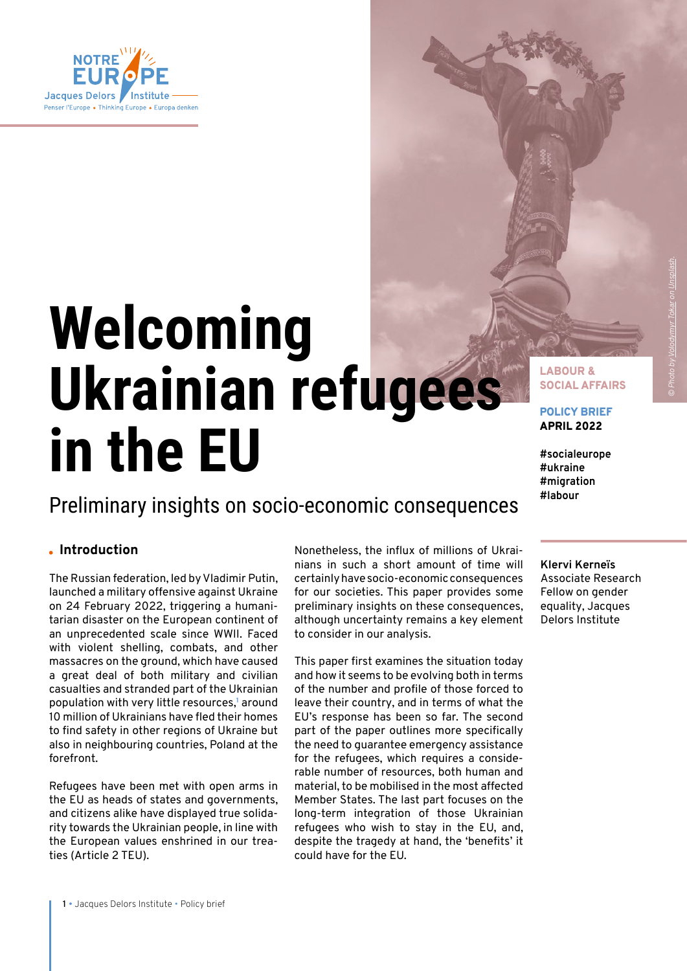

# **Welcoming Ukrainian refugees in the EU**

## Preliminary insights on socio-economic consequences

### **Introduction**

The Russian federation, led by Vladimir Putin, launched a military offensive against Ukraine on 24 February 2022, triggering a humanitarian disaster on the European continent of an unprecedented scale since WWII. Faced with violent shelling, combats, and other massacres on the ground, which have caused a great deal of both military and civilian casualties and stranded part of the Ukrainian population with very little resources,<sup>1</sup> around 10 million of Ukrainians have fled their homes to find safety in other regions of Ukraine but also in neighbouring countries, Poland at the forefront.

Refugees have been met with open arms in the EU as heads of states and governments, and citizens alike have displayed true solidarity towards the Ukrainian people, in line with the European values enshrined in our treaties (Article 2 TEU).

Nonetheless, the influx of millions of Ukrainians in such a short amount of time will certainly have socio-economic consequences for our societies. This paper provides some preliminary insights on these consequences, although uncertainty remains a key element to consider in our analysis.

This paper first examines the situation today and how it seems to be evolving both in terms of the number and profile of those forced to leave their country, and in terms of what the EU's response has been so far. The second part of the paper outlines more specifically the need to guarantee emergency assistance for the refugees, which requires a considerable number of resources, both human and material, to be mobilised in the most affected Member States. The last part focuses on the long-term integration of those Ukrainian refugees who wish to stay in the EU, and, despite the tragedy at hand, the 'benefits' it could have for the EU.

SOCIAL AFFAIRS POLICY BRIEF

LABOUR &

APRIL 2022

**#socialeurope #ukraine #migration #labour**

**Klervi Kerneïs**  Associate Research Fellow on gender equality, Jacques Delors Institute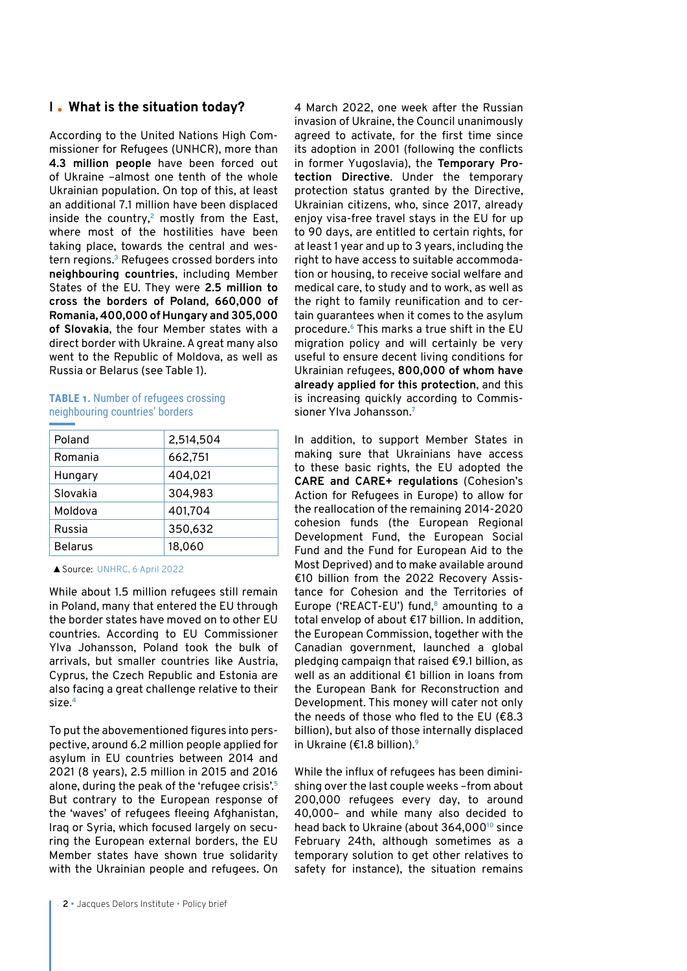### **I What is the situation today?**

According to the United Nations High Commissioner for Refugees (UNHCR), more than **4.3 million people** have been forced out of Ukraine –almost one tenth of the whole Ukrainian population. On top of this, at least an additional 7.1 million have been displaced inside the country,**<sup>2</sup>** mostly from the East, where most of the hostilities have been taking place, towards the central and western regions.**<sup>3</sup>** Refugees crossed borders into **neighbouring countries**, including Member States of the EU. They were **2.5 million to cross the borders of Poland, 660,000 of Romania, 400,000 of Hungary and 305,000 of Slovakia**, the four Member states with a direct border with Ukraine. A great many also went to the Republic of Moldova, as well as Russia or Belarus (see Table 1).

#### **TABLE 1.** Number of refugees crossing neighbouring countries' borders

| Poland         | 2,514,504 |
|----------------|-----------|
| Romania        | 662,751   |
| Hungary        | 404,021   |
| Slovakia       | 304,983   |
| Moldova        | 401,704   |
| Russia         | 350,632   |
| <b>Belarus</b> | 18,060    |

▲Source: [UNHRC, 6 April 2022](https://data2.unhcr.org/en/situations/ukraine)

While about 1.5 million refugees still remain in Poland, many that entered the EU through the border states have moved on to other EU countries. According to EU Commissioner Ylva Johansson, Poland took the bulk of arrivals, but smaller countries like Austria, Cyprus, the Czech Republic and Estonia are also facing a great challenge relative to their size.**<sup>4</sup>**

To put the abovementioned figures into perspective, around 6.2 million people applied for asylum in EU countries between 2014 and 2021 (8 years), 2.5 million in 2015 and 2016 alone, during the peak of the 'refugee crisis'.**<sup>5</sup>** But contrary to the European response of the 'waves' of refugees fleeing Afghanistan, Iraq or Syria, which focused largely on securing the European external borders, the EU Member states have shown true solidarity with the Ukrainian people and refugees. On

4 March 2022, one week after the Russian invasion of Ukraine, the Council unanimously agreed to activate, for the first time since its adoption in 2001 (following the conflicts in former Yugoslavia), the **Temporary Protection Directive**. Under the temporary protection status granted by the Directive, Ukrainian citizens, who, since 2017, already enjoy visa-free travel stays in the EU for up to 90 days, are entitled to certain rights, for at least 1 year and up to 3 years, including the right to have access to suitable accommodation or housing, to receive social welfare and medical care, to study and to work, as well as the right to family reunification and to certain guarantees when it comes to the asylum procedure.**<sup>6</sup>** This marks a true shift in the EU migration policy and will certainly be very useful to ensure decent living conditions for Ukrainian refugees, **800,000 of whom have already applied for this protection**, and this is increasing quickly according to Commissioner Ylva Johansson.**<sup>7</sup>**

In addition, to support Member States in making sure that Ukrainians have access to these basic rights, the EU adopted the **CARE and CARE+ regulations** (Cohesion's Action for Refugees in Europe) to allow for the reallocation of the remaining 2014-2020 cohesion funds (the European Regional Development Fund, the European Social Fund and the Fund for European Aid to the Most Deprived) and to make available around €10 billion from the 2022 Recovery Assistance for Cohesion and the Territories of Europe ('REACT-EU') fund,**<sup>8</sup>** amounting to a total envelop of about €17 billion. In addition, the European Commission, together with the Canadian government, launched a global pledging campaign that raised €9.1 billion, as well as an additional €1 billion in loans from the European Bank for Reconstruction and Development. This money will cater not only the needs of those who fled to the EU (€8.3 billion), but also of those internally displaced in Ukraine (€1.8 billion).**<sup>9</sup>**

While the influx of refugees has been diminishing over the last couple weeks –from about 200,000 refugees every day, to around 40,000– and while many also decided to head back to Ukraine (about 364,000**<sup>10</sup>** since February 24th, although sometimes as a temporary solution to get other relatives to safety for instance), the situation remains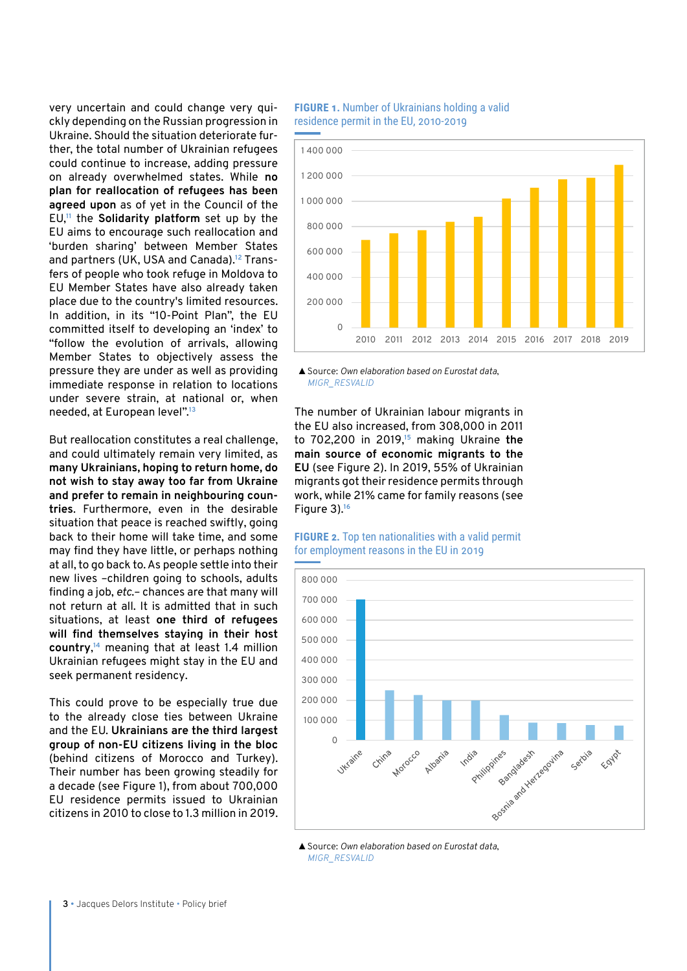very uncertain and could change very quickly depending on the Russian progression in Ukraine. Should the situation deteriorate further, the total number of Ukrainian refugees could continue to increase, adding pressure on already overwhelmed states. While **no plan for reallocation of refugees has been agreed upon** as of yet in the Council of the EU,**<sup>11</sup>** the **Solidarity platform** set up by the EU aims to encourage such reallocation and 'burden sharing' between Member States and partners (UK, USA and Canada).**12** Transfers of people who took refuge in Moldova to EU Member States have also already taken place due to the country's limited resources. In addition, in its "10-Point Plan", the EU committed itself to developing an 'index' to "follow the evolution of arrivals, allowing Member States to objectively assess the pressure they are under as well as providing immediate response in relation to locations under severe strain, at national or, when needed, at European level".**<sup>13</sup>**

But reallocation constitutes a real challenge, and could ultimately remain very limited, as **many Ukrainians, hoping to return home, do not wish to stay away too far from Ukraine and prefer to remain in neighbouring countries**. Furthermore, even in the desirable situation that peace is reached swiftly, going back to their home will take time, and some may find they have little, or perhaps nothing at all, to go back to. As people settle into their new lives –children going to schools, adults finding a job, *etc*.– chances are that many will not return at all. It is admitted that in such situations, at least **one third of refugees will find themselves staying in their host country**, **<sup>14</sup>** meaning that at least 1.4 million Ukrainian refugees might stay in the EU and seek permanent residency.

This could prove to be especially true due to the already close ties between Ukraine and the EU. **Ukrainians are the third largest group of non-EU citizens living in the bloc** (behind citizens of Morocco and Turkey). Their number has been growing steadily for a decade (see Figure 1), from about 700,000 EU residence permits issued to Ukrainian citizens in 2010 to close to 1.3 million in 2019.

#### **FIGURE 1.** Number of Ukrainians holding a valid residence permit in the EU, 2010-2019



▲Source: *Own elaboration based on Eurostat data*, *[MIGR\\_RESVALID](https://ec.europa.eu/eurostat/databrowser/view/MIGR_RESVALID__custom_2505204/default/table?lang=en)*

The number of Ukrainian labour migrants in the EU also increased, from 308,000 in 2011 to 702,200 in 2019,**<sup>15</sup>** making Ukraine **the main source of economic migrants to the EU** (see Figure 2). In 2019, 55% of Ukrainian migrants got their residence permits through work, while 21% came for family reasons (see Figure 3).**<sup>16</sup>**





▲Source: *Own elaboration based on Eurostat data*, *[MIGR\\_RESVALID](https://ec.europa.eu/eurostat/databrowser/view/MIGR_RESVALID__custom_2505204/default/table?lang=en)*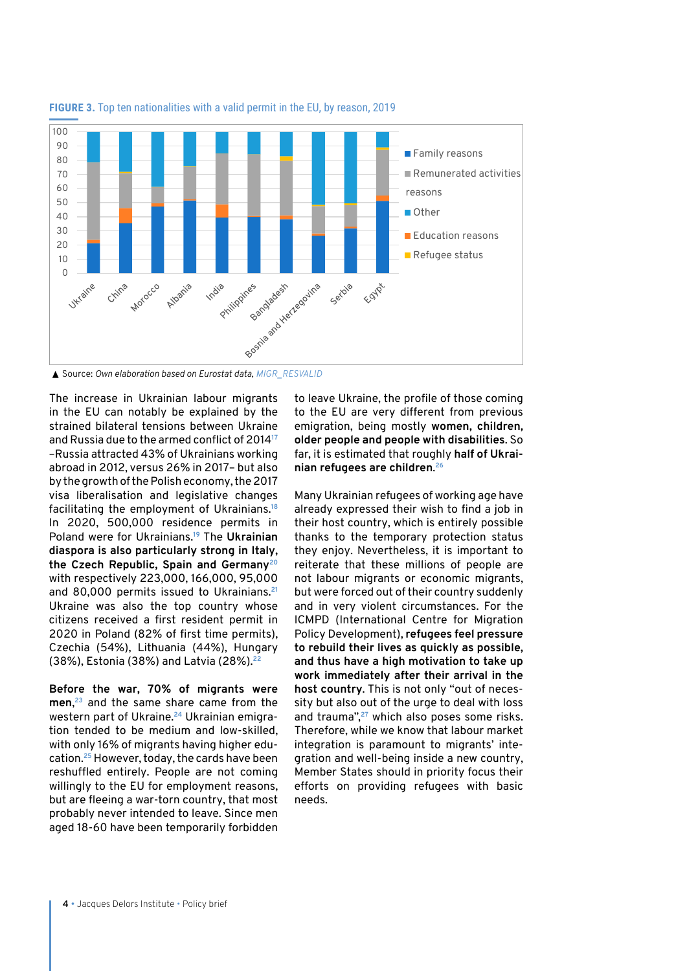

**FIGURE 3.** Top ten nationalities with a valid permit in the EU, by reason, 2019 10

▲ Source: Own elaboration based on Eurostat data, [MIGR\\_RESVALID](https://ec.europa.eu/eurostat/databrowser/view/MIGR_RESVALID__custom_2505204/default/table?lang=en)

The increase in Ukrainian labour migrants to in the EU can notably be explained by the strained bilateral tensions between Ukraine and Russia due to the armed conflict of 2014**<sup>17</sup>** –Russia attracted 43% of Ukrainians working abroad in 2012, versus 26% in 2017– but also by the growth of the Polish economy, the 2017 visa liberalisation and legislative changes facilitating the employment of Ukrainians.**<sup>18</sup>** In 2020, 500,000 residence permits in Poland were for Ukrainians.**<sup>19</sup>** The **Ukrainian diaspora is also particularly strong in Italy, the Czech Republic, Spain and Germany20** with respectively 223,000, 166,000, 95,000 and 80,000 permits issued to Ukrainians.**<sup>21</sup>** Ukraine was also the top country whose citizens received a first resident permit in 2020 in Poland (82% of first time permits), Czechia (54%), Lithuania (44%), Hungary (38%), Estonia (38%) and Latvia (28%).**<sup>22</sup>**

**Before the war, 70% of migrants were men**, **<sup>23</sup>** and the same share came from the western part of Ukraine.**24** Ukrainian emigration tended to be medium and low-skilled, with only 16% of migrants having higher education.**<sup>25</sup>** However, today, the cards have been reshuffled entirely. People are not coming willingly to the EU for employment reasons, but are fleeing a war-torn country, that most probably never intended to leave. Since men aged 18-60 have been temporarily forbidden

to leave Ukraine, the profile of those coming to the EU are very different from previous emigration, being mostly **women, children, older people and people with disabilities**. So far, it is estimated that roughly **half of Ukrainian refugees are children**. **26**

Many Ukrainian refugees of working age have already expressed their wish to find a job in their host country, which is entirely possible thanks to the temporary protection status they enjoy. Nevertheless, it is important to reiterate that these millions of people are not labour migrants or economic migrants, but were forced out of their country suddenly and in very violent circumstances. For the ICMPD (International Centre for Migration Policy Development), **refugees feel pressure to rebuild their lives as quickly as possible, and thus have a high motivation to take up work immediately after their arrival in the host country**. This is not only "out of necessity but also out of the urge to deal with loss and trauma",**<sup>27</sup>** which also poses some risks. Therefore, while we know that labour market integration is paramount to migrants' integration and well-being inside a new country, Member States should in priority focus their efforts on providing refugees with basic needs.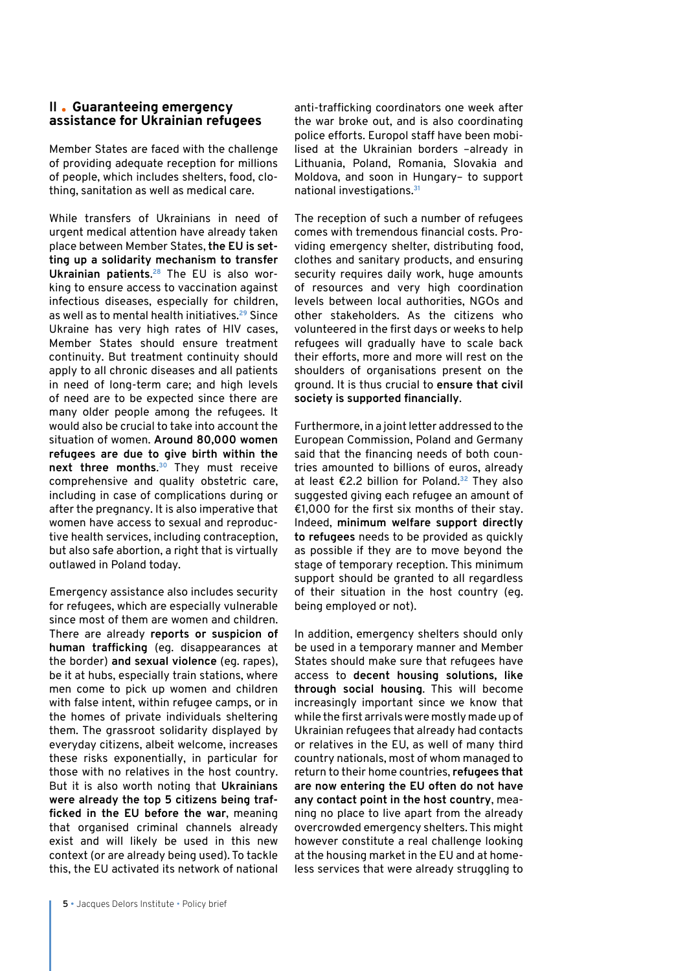#### **II Guaranteeing emergency assistance for Ukrainian refugees**

Member States are faced with the challenge of providing adequate reception for millions of people, which includes shelters, food, clothing, sanitation as well as medical care.

While transfers of Ukrainians in need of urgent medical attention have already taken place between Member States, **the EU is setting up a solidarity mechanism to transfer Ukrainian patients**. **28** The EU is also working to ensure access to vaccination against infectious diseases, especially for children, as well as to mental health initiatives.**<sup>29</sup>** Since Ukraine has very high rates of HIV cases, Member States should ensure treatment continuity. But treatment continuity should apply to all chronic diseases and all patients in need of long-term care; and high levels of need are to be expected since there are many older people among the refugees. It would also be crucial to take into account the situation of women. **Around 80,000 women refugees are due to give birth within the next three months**. **<sup>30</sup>** They must receive comprehensive and quality obstetric care, including in case of complications during or after the pregnancy. It is also imperative that women have access to sexual and reproductive health services, including contraception, but also safe abortion, a right that is virtually outlawed in Poland today.

Emergency assistance also includes security for refugees, which are especially vulnerable since most of them are women and children. There are already **reports or suspicion of human trafficking** (eg. disappearances at the border) **and sexual violence** (eg. rapes), be it at hubs, especially train stations, where men come to pick up women and children with false intent, within refugee camps, or in the homes of private individuals sheltering them. The grassroot solidarity displayed by everyday citizens, albeit welcome, increases these risks exponentially, in particular for those with no relatives in the host country. But it is also worth noting that **Ukrainians were already the top 5 citizens being trafficked in the EU before the war**, meaning that organised criminal channels already exist and will likely be used in this new context (or are already being used). To tackle this, the EU activated its network of national

anti-trafficking coordinators one week after the war broke out, and is also coordinating police efforts. Europol staff have been mobilised at the Ukrainian borders –already in Lithuania, Poland, Romania, Slovakia and Moldova, and soon in Hungary– to support national investigations.**<sup>31</sup>**

The reception of such a number of refugees comes with tremendous financial costs. Providing emergency shelter, distributing food, clothes and sanitary products, and ensuring security requires daily work, huge amounts of resources and very high coordination levels between local authorities, NGOs and other stakeholders. As the citizens who volunteered in the first days or weeks to help refugees will gradually have to scale back their efforts, more and more will rest on the shoulders of organisations present on the ground. It is thus crucial to **ensure that civil society is supported financially**.

Furthermore, in a joint letter addressed to the European Commission, Poland and Germany said that the financing needs of both countries amounted to billions of euros, already at least €2.2 billion for Poland.**<sup>32</sup>** They also suggested giving each refugee an amount of €1,000 for the first six months of their stay. Indeed, **minimum welfare support directly to refugees** needs to be provided as quickly as possible if they are to move beyond the stage of temporary reception. This minimum support should be granted to all regardless of their situation in the host country (eg. being employed or not).

In addition, emergency shelters should only be used in a temporary manner and Member States should make sure that refugees have access to **decent housing solutions, like through social housing**. This will become increasingly important since we know that while the first arrivals were mostly made up of Ukrainian refugees that already had contacts or relatives in the EU, as well of many third country nationals, most of whom managed to return to their home countries, **refugees that are now entering the EU often do not have any contact point in the host country**, meaning no place to live apart from the already overcrowded emergency shelters. This might however constitute a real challenge looking at the housing market in the EU and at homeless services that were already struggling to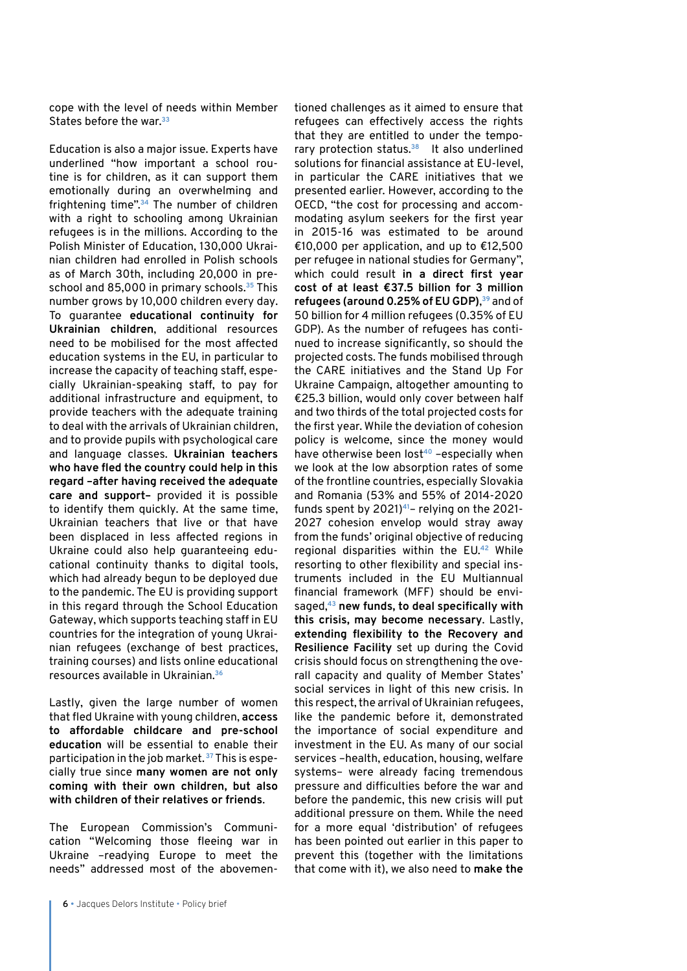cope with the level of needs within Member States before the war.**<sup>33</sup>**

Education is also a major issue. Experts have underlined "how important a school routine is for children, as it can support them emotionally during an overwhelming and frightening time".**<sup>34</sup>** The number of children with a right to schooling among Ukrainian refugees is in the millions. According to the Polish Minister of Education, 130,000 Ukrainian children had enrolled in Polish schools as of March 30th, including 20,000 in preschool and 85,000 in primary schools.**<sup>35</sup>** This number grows by 10,000 children every day. To guarantee **educational continuity for Ukrainian children**, additional resources need to be mobilised for the most affected education systems in the EU, in particular to increase the capacity of teaching staff, especially Ukrainian-speaking staff, to pay for additional infrastructure and equipment, to provide teachers with the adequate training to deal with the arrivals of Ukrainian children, and to provide pupils with psychological care and language classes. **Ukrainian teachers who have fled the country could help in this regard –after having received the adequate care and support–** provided it is possible to identify them quickly. At the same time, Ukrainian teachers that live or that have been displaced in less affected regions in Ukraine could also help guaranteeing educational continuity thanks to digital tools, which had already begun to be deployed due to the pandemic. The EU is providing support in this regard through the School Education Gateway, which supports teaching staff in EU countries for the integration of young Ukrainian refugees (exchange of best practices, training courses) and lists online educational resources available in Ukrainian.**<sup>36</sup>**

Lastly, given the large number of women that fled Ukraine with young children, **access to affordable childcare and pre-school education** will be essential to enable their participation in the job market. **<sup>37</sup>** This is especially true since **many women are not only coming with their own children, but also with children of their relatives or friends**.

The European Commission's Communication "Welcoming those fleeing war in Ukraine –readying Europe to meet the needs" addressed most of the abovementioned challenges as it aimed to ensure that refugees can effectively access the rights that they are entitled to under the temporary protection status.**<sup>38</sup>** It also underlined solutions for financial assistance at EU-level, in particular the CARE initiatives that we presented earlier. However, according to the OECD, "the cost for processing and accommodating asylum seekers for the first year in 2015-16 was estimated to be around €10,000 per application, and up to €12,500 per refugee in national studies for Germany", which could result **in a direct first year cost of at least €37.5 billion for 3 million refugees (around 0.25% of EU GDP)**, **<sup>39</sup>** and of 50 billion for 4 million refugees (0.35% of EU GDP). As the number of refugees has continued to increase significantly, so should the projected costs. The funds mobilised through the CARE initiatives and the Stand Up For Ukraine Campaign, altogether amounting to €25.3 billion, would only cover between half and two thirds of the total projected costs for the first year. While the deviation of cohesion policy is welcome, since the money would have otherwise been lost**<sup>40</sup>** –especially when we look at the low absorption rates of some of the frontline countries, especially Slovakia and Romania (53% and 55% of 2014-2020 funds spent by 2021)**<sup>41</sup>**– relying on the 2021- 2027 cohesion envelop would stray away from the funds' original objective of reducing regional disparities within the EU.**<sup>42</sup>** While resorting to other flexibility and special instruments included in the EU Multiannual financial framework (MFF) should be envisaged,**<sup>43</sup> new funds, to deal specifically with this crisis, may become necessary**. Lastly, **extending flexibility to the Recovery and Resilience Facility** set up during the Covid crisis should focus on strengthening the overall capacity and quality of Member States' social services in light of this new crisis. In this respect, the arrival of Ukrainian refugees, like the pandemic before it, demonstrated the importance of social expenditure and investment in the EU. As many of our social services –health, education, housing, welfare systems– were already facing tremendous pressure and difficulties before the war and before the pandemic, this new crisis will put additional pressure on them. While the need for a more equal 'distribution' of refugees has been pointed out earlier in this paper to prevent this (together with the limitations that come with it), we also need to **make the**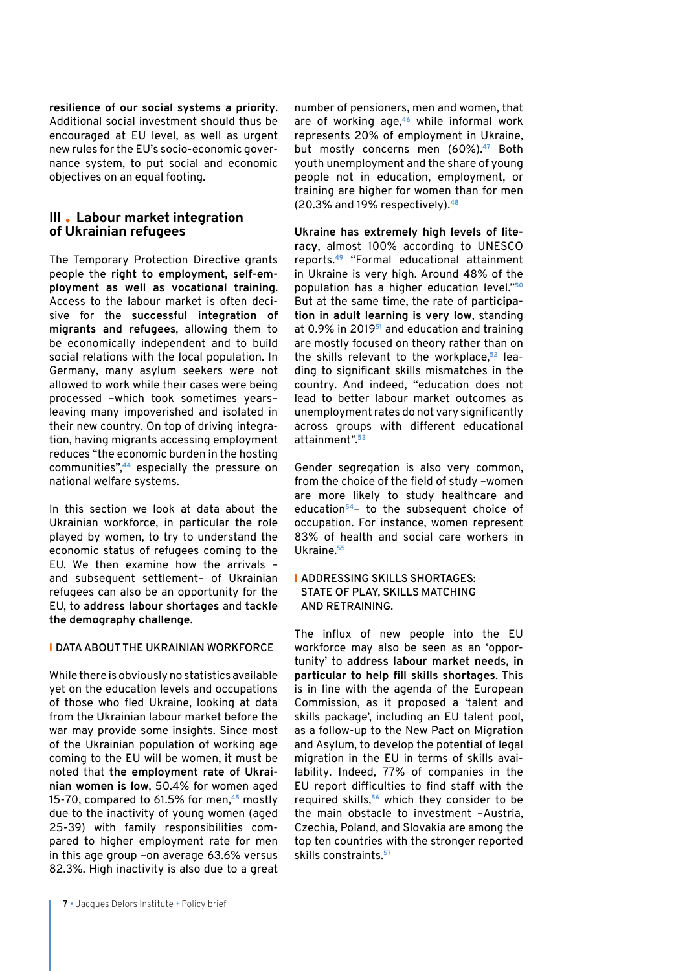**resilience of our social systems a priority**. Additional social investment should thus be encouraged at EU level, as well as urgent new rules for the EU's socio-economic governance system, to put social and economic objectives on an equal footing.

#### **III Labour market integration of Ukrainian refugees**

The Temporary Protection Directive grants people the **right to employment, self-employment as well as vocational training**. Access to the labour market is often decisive for the **successful integration of migrants and refugees**, allowing them to be economically independent and to build social relations with the local population. In Germany, many asylum seekers were not allowed to work while their cases were being processed –which took sometimes years– leaving many impoverished and isolated in their new country. On top of driving integration, having migrants accessing employment reduces "the economic burden in the hosting communities",**<sup>44</sup>** especially the pressure on national welfare systems.

In this section we look at data about the Ukrainian workforce, in particular the role played by women, to try to understand the economic status of refugees coming to the EU. We then examine how the arrivals – and subsequent settlement– of Ukrainian refugees can also be an opportunity for the EU, to **address labour shortages** and **tackle the demography challenge**.

#### I **DATA ABOUT THE UKRAINIAN WORKFORCE**

While there is obviously no statistics available yet on the education levels and occupations of those who fled Ukraine, looking at data from the Ukrainian labour market before the war may provide some insights. Since most of the Ukrainian population of working age coming to the EU will be women, it must be noted that **the employment rate of Ukrainian women is low**, 50.4% for women aged 15-70, compared to 61.5% for men,**<sup>45</sup>** mostly due to the inactivity of young women (aged 25-39) with family responsibilities compared to higher employment rate for men in this age group –on average 63.6% versus 82.3%. High inactivity is also due to a great number of pensioners, men and women, that are of working age,**<sup>46</sup>** while informal work represents 20% of employment in Ukraine, but mostly concerns men (60%).**<sup>47</sup>** Both youth unemployment and the share of young people not in education, employment, or training are higher for women than for men (20.3% and 19% respectively).**<sup>48</sup>**

**Ukraine has extremely high levels of literacy**, almost 100% according to UNESCO reports.**<sup>49</sup>** "Formal educational attainment in Ukraine is very high. Around 48% of the population has a higher education level."**<sup>50</sup>** But at the same time, the rate of **participation in adult learning is very low**, standing at 0.9% in 2019**<sup>51</sup>** and education and training are mostly focused on theory rather than on the skills relevant to the workplace,**52** leading to significant skills mismatches in the country. And indeed, "education does not lead to better labour market outcomes as unemployment rates do not vary significantly across groups with different educational attainment".**<sup>53</sup>**

Gender segregation is also very common, from the choice of the field of study –women are more likely to study healthcare and education**<sup>54</sup>**– to the subsequent choice of occupation. For instance, women represent 83% of health and social care workers in Ukraine.**<sup>55</sup>**

#### I **ADDRESSING SKILLS SHORTAGES: STATE OF PLAY, SKILLS MATCHING AND RETRAINING.**

The influx of new people into the EU workforce may also be seen as an 'opportunity' to **address labour market needs, in particular to help fill skills shortages**. This is in line with the agenda of the European Commission, as it proposed a 'talent and skills package', including an EU talent pool, as a follow-up to the New Pact on Migration and Asylum, to develop the potential of legal migration in the EU in terms of skills availability. Indeed, 77% of companies in the EU report difficulties to find staff with the required skills,**<sup>56</sup>** which they consider to be the main obstacle to investment –Austria, Czechia, Poland, and Slovakia are among the top ten countries with the stronger reported skills constraints.**57**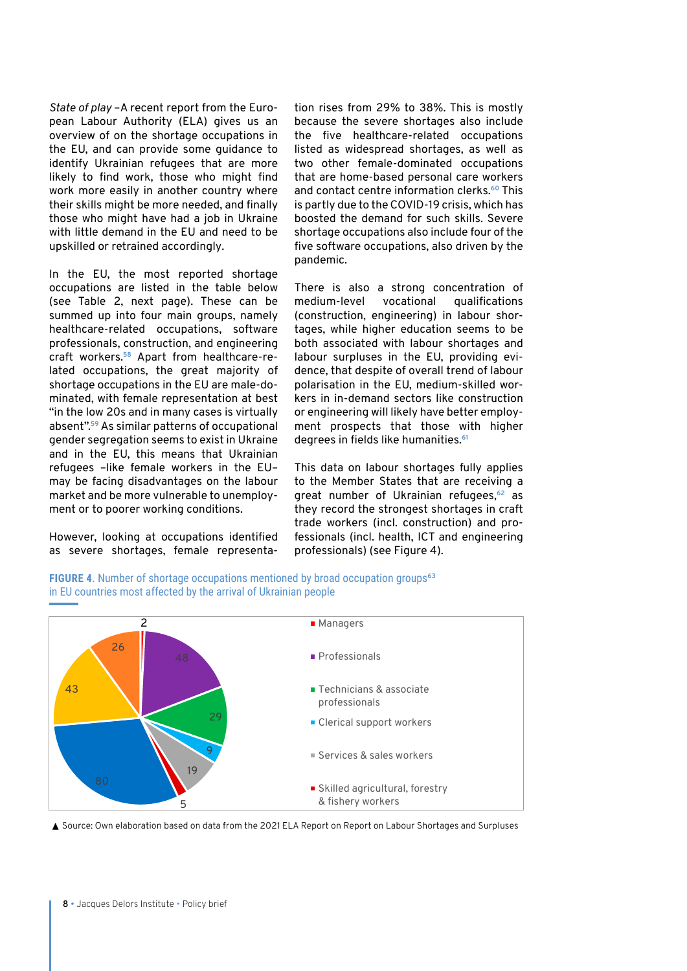*State of play* –A recent report from the European Labour Authority (ELA) gives us an overview of on the shortage occupations in the EU, and can provide some guidance to identify Ukrainian refugees that are more likely to find work, those who might find work more easily in another country where their skills might be more needed, and finally those who might have had a job in Ukraine with little demand in the EU and need to be upskilled or retrained accordingly.

In the EU, the most reported shortage occupations are listed in the table below (see Table 2, next page). These can be summed up into four main groups, namely healthcare-related occupations, software professionals, construction, and engineering craft workers.**58** Apart from healthcare-related occupations, the great majority of shortage occupations in the EU are male-dominated, with female representation at best "in the low 20s and in many cases is virtually absent".**<sup>59</sup>** As similar patterns of occupational gender segregation seems to exist in Ukraine and in the EU, this means that Ukrainian refugees –like female workers in the EU– may be facing disadvantages on the labour market and be more vulnerable to unemployment or to poorer working conditions.

However, looking at occupations identified as severe shortages, female representation rises from 29% to 38%. This is mostly because the severe shortages also include the five healthcare-related occupations listed as widespread shortages, as well as two other female-dominated occupations that are home-based personal care workers and contact centre information clerks.**<sup>60</sup>** This is partly due to the COVID-19 crisis, which has boosted the demand for such skills. Severe shortage occupations also include four of the five software occupations, also driven by the pandemic.

There is also a strong concentration of medium-level vocational qualifications (construction, engineering) in labour shortages, while higher education seems to be both associated with labour shortages and labour surpluses in the EU, providing evidence, that despite of overall trend of labour polarisation in the EU, medium-skilled workers in in-demand sectors like construction or engineering will likely have better employment prospects that those with higher degrees in fields like humanities.**<sup>61</sup>**

This data on labour shortages fully applies to the Member States that are receiving a great number of Ukrainian refugees,**<sup>62</sup>** as they record the strongest shortages in craft trade workers (incl. construction) and professionals (incl. health, ICT and engineering professionals) (see Figure 4).





▲ Source: Own elaboration based on data from the 2021 ELA Report on Report on Labour Shortages and Surpluses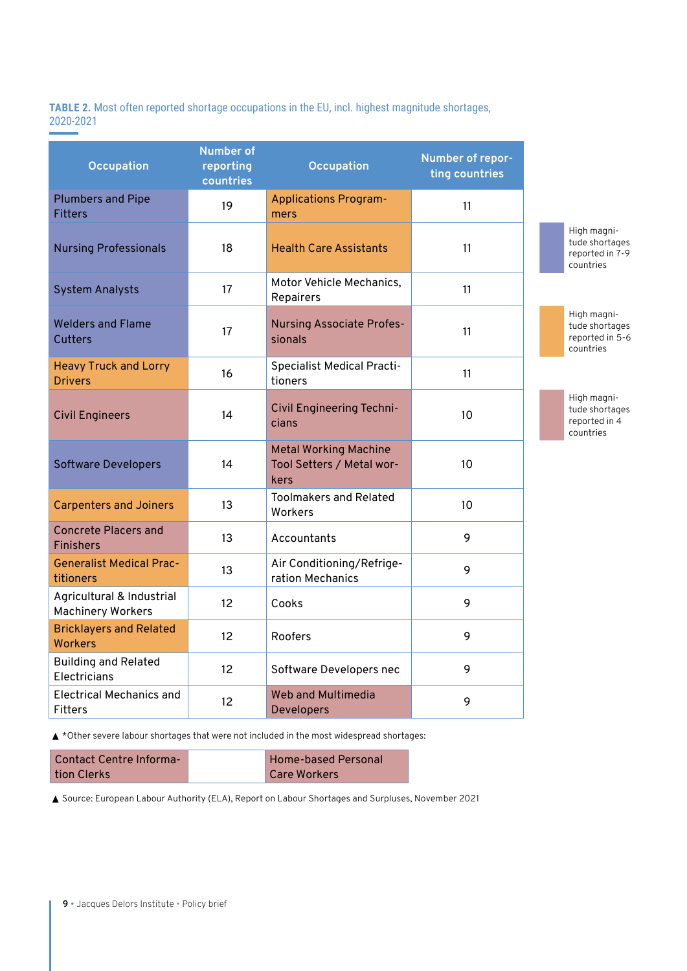**TABLE 2.** Most often reported shortage occupations in the EU, incl. highest magnitude shortages, 2020-2021

| <b>Occupation</b>                                     | <b>Number of</b><br>reporting<br>countries | Occupation                                                        | Number of repor-<br>ting countries |
|-------------------------------------------------------|--------------------------------------------|-------------------------------------------------------------------|------------------------------------|
| <b>Plumbers and Pipe</b><br><b>Fitters</b>            | 19                                         | <b>Applications Program-</b><br>mers                              | 11                                 |
| <b>Nursing Professionals</b>                          | 18                                         | <b>Health Care Assistants</b>                                     | 11                                 |
| <b>System Analysts</b>                                | 17                                         | Motor Vehicle Mechanics,<br>Repairers                             | 11                                 |
| <b>Welders and Flame</b><br>Cutters                   | 17                                         | <b>Nursing Associate Profes-</b><br>sionals                       | 11                                 |
| <b>Heavy Truck and Lorry</b><br><b>Drivers</b>        | 16                                         | <b>Specialist Medical Practi-</b><br>tioners                      | 11                                 |
| <b>Civil Engineers</b>                                | 14                                         | Civil Engineering Techni-<br>cians                                | 10                                 |
| <b>Software Developers</b>                            | 14                                         | <b>Metal Working Machine</b><br>Tool Setters / Metal wor-<br>kers | 10                                 |
| <b>Carpenters and Joiners</b>                         | 13                                         | <b>Toolmakers and Related</b><br>Workers                          | 10                                 |
| <b>Concrete Placers and</b><br><b>Finishers</b>       | 13                                         | Accountants                                                       | 9                                  |
| <b>Generalist Medical Prac-</b><br>titioners          | 13                                         | Air Conditioning/Refrige-<br>ration Mechanics                     | 9                                  |
| Agricultural & Industrial<br><b>Machinery Workers</b> | 12                                         | Cooks                                                             | 9                                  |
| <b>Bricklayers and Related</b><br><b>Workers</b>      | 12                                         | Roofers                                                           | 9                                  |
| <b>Building and Related</b><br>Electricians           | 12                                         | Software Developers nec                                           | 9                                  |
| <b>Electrical Mechanics and</b><br><b>Fitters</b>     | 12                                         | <b>Web and Multimedia</b><br>Developers                           | 9                                  |

High magnitude shortages reported in 7-9 countries

High magnitude shortages reported in 5-6 countries

High magnitude shortages reported in 4 countries

▲ \*Other severe labour shortages that were not included in the most widespread shortages:

| <b>Contact Centre Informa-</b> | <b>Home-based Personal</b> |
|--------------------------------|----------------------------|
| tion Clerks                    | Care Workers               |

▲ Source: European Labour Authority (ELA), Report on Labour Shortages and Surpluses, November 2021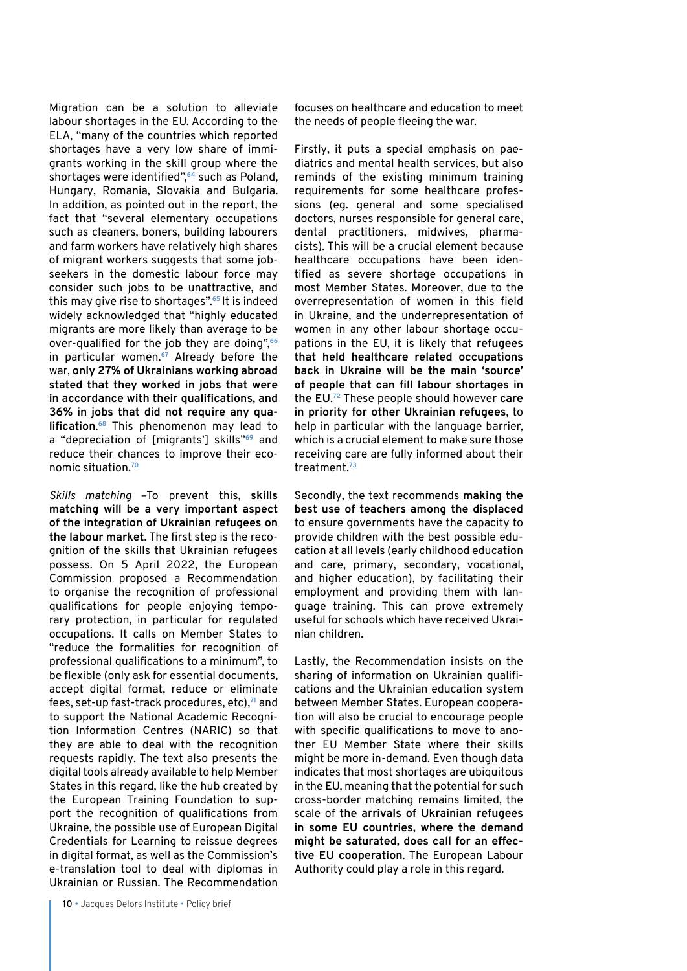Migration can be a solution to alleviate labour shortages in the EU. According to the ELA, "many of the countries which reported shortages have a very low share of immigrants working in the skill group where the shortages were identified",**<sup>64</sup>** such as Poland, Hungary, Romania, Slovakia and Bulgaria. In addition, as pointed out in the report, the fact that "several elementary occupations such as cleaners, boners, building labourers and farm workers have relatively high shares of migrant workers suggests that some jobseekers in the domestic labour force may consider such jobs to be unattractive, and this may give rise to shortages".**<sup>65</sup>**It is indeed widely acknowledged that "highly educated migrants are more likely than average to be over-qualified for the job they are doing",**<sup>66</sup>** in particular women.**<sup>67</sup>** Already before the war, **only 27% of Ukrainians working abroad stated that they worked in jobs that were in accordance with their qualifications, and 36% in jobs that did not require any qualification**. **<sup>68</sup>** This phenomenon may lead to a "depreciation of [migrants'] skills"**<sup>69</sup>** and reduce their chances to improve their economic situation.**<sup>70</sup>**

*Skills matching* –To prevent this, **skills matching will be a very important aspect of the integration of Ukrainian refugees on the labour market**. The first step is the recognition of the skills that Ukrainian refugees possess. On 5 April 2022, the European Commission proposed a Recommendation to organise the recognition of professional qualifications for people enjoying temporary protection, in particular for regulated occupations. It calls on Member States to "reduce the formalities for recognition of professional qualifications to a minimum", to be flexible (only ask for essential documents, accept digital format, reduce or eliminate fees, set-up fast-track procedures, etc),**<sup>71</sup>** and to support the National Academic Recognition Information Centres (NARIC) so that they are able to deal with the recognition requests rapidly. The text also presents the digital tools already available to help Member States in this regard, like the hub created by the European Training Foundation to support the recognition of qualifications from Ukraine, the possible use of European Digital Credentials for Learning to reissue degrees in digital format, as well as the Commission's e-translation tool to deal with diplomas in Ukrainian or Russian. The Recommendation

focuses on healthcare and education to meet the needs of people fleeing the war.

Firstly, it puts a special emphasis on paediatrics and mental health services, but also reminds of the existing minimum training requirements for some healthcare professions (eg. general and some specialised doctors, nurses responsible for general care, dental practitioners, midwives, pharmacists). This will be a crucial element because healthcare occupations have been identified as severe shortage occupations in most Member States. Moreover, due to the overrepresentation of women in this field in Ukraine, and the underrepresentation of women in any other labour shortage occupations in the EU, it is likely that **refugees that held healthcare related occupations back in Ukraine will be the main 'source' of people that can fill labour shortages in the EU**. **<sup>72</sup>** These people should however **care in priority for other Ukrainian refugees**, to help in particular with the language barrier. which is a crucial element to make sure those receiving care are fully informed about their treatment.**<sup>73</sup>**

Secondly, the text recommends **making the best use of teachers among the displaced** to ensure governments have the capacity to provide children with the best possible education at all levels (early childhood education and care, primary, secondary, vocational, and higher education), by facilitating their employment and providing them with language training. This can prove extremely useful for schools which have received Ukrainian children.

Lastly, the Recommendation insists on the sharing of information on Ukrainian qualifications and the Ukrainian education system between Member States. European cooperation will also be crucial to encourage people with specific qualifications to move to another EU Member State where their skills might be more in-demand. Even though data indicates that most shortages are ubiquitous in the EU, meaning that the potential for such cross-border matching remains limited, the scale of **the arrivals of Ukrainian refugees in some EU countries, where the demand might be saturated, does call for an effective EU cooperation**. The European Labour Authority could play a role in this regard.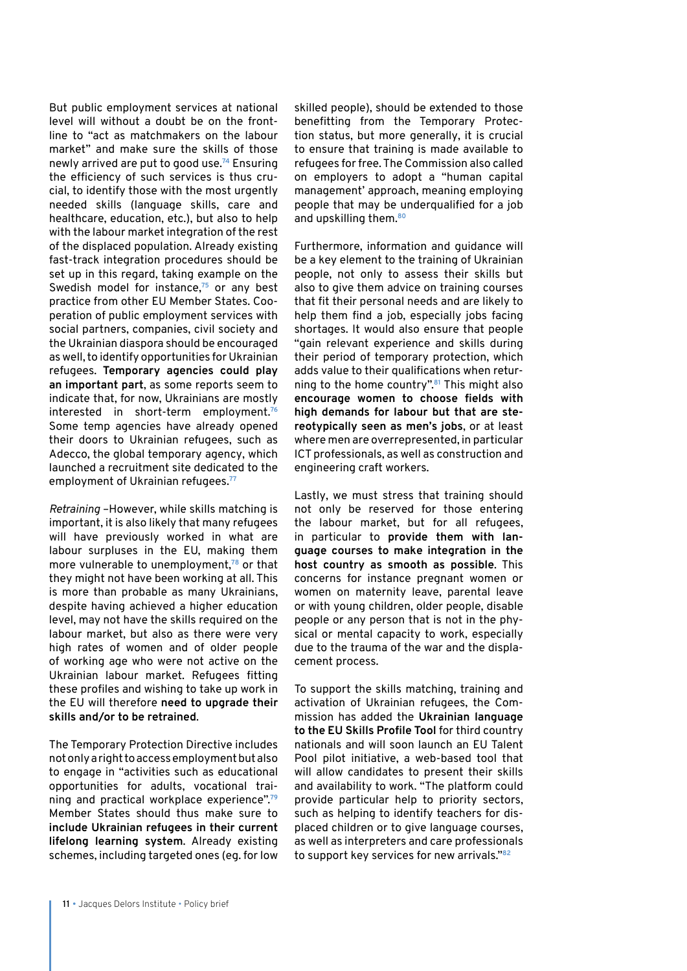But public employment services at national level will without a doubt be on the frontline to "act as matchmakers on the labour market" and make sure the skills of those newly arrived are put to good use.**<sup>74</sup>** Ensuring the efficiency of such services is thus crucial, to identify those with the most urgently needed skills (language skills, care and healthcare, education, etc.), but also to help with the labour market integration of the rest of the displaced population. Already existing fast-track integration procedures should be set up in this regard, taking example on the Swedish model for instance,**<sup>75</sup>** or any best practice from other EU Member States. Cooperation of public employment services with social partners, companies, civil society and the Ukrainian diaspora should be encouraged as well, to identify opportunities for Ukrainian refugees. **Temporary agencies could play an important part**, as some reports seem to indicate that, for now, Ukrainians are mostly interested in short-term employment.**<sup>76</sup>** Some temp agencies have already opened their doors to Ukrainian refugees, such as Adecco, the global temporary agency, which launched a recruitment site dedicated to the employment of Ukrainian refugees.**<sup>77</sup>**

*Retraining* –However, while skills matching is important, it is also likely that many refugees will have previously worked in what are labour surpluses in the EU, making them more vulnerable to unemployment,**<sup>78</sup>** or that they might not have been working at all. This is more than probable as many Ukrainians, despite having achieved a higher education level, may not have the skills required on the labour market, but also as there were very high rates of women and of older people of working age who were not active on the Ukrainian labour market. Refugees fitting these profiles and wishing to take up work in the EU will therefore **need to upgrade their skills and/or to be retrained**.

The Temporary Protection Directive includes not only a right to access employment but also to engage in "activities such as educational opportunities for adults, vocational training and practical workplace experience".**<sup>79</sup>** Member States should thus make sure to **include Ukrainian refugees in their current lifelong learning system**. Already existing schemes, including targeted ones (eg. for low

skilled people), should be extended to those benefitting from the Temporary Protection status, but more generally, it is crucial to ensure that training is made available to refugees for free. The Commission also called on employers to adopt a "human capital management' approach, meaning employing people that may be underqualified for a job and upskilling them.**<sup>80</sup>**

Furthermore, information and guidance will be a key element to the training of Ukrainian people, not only to assess their skills but also to give them advice on training courses that fit their personal needs and are likely to help them find a job, especially jobs facing shortages. It would also ensure that people "gain relevant experience and skills during their period of temporary protection, which adds value to their qualifications when returning to the home country".**<sup>81</sup>** This might also **encourage women to choose fields with high demands for labour but that are stereotypically seen as men's jobs**, or at least where men are overrepresented, in particular ICT professionals, as well as construction and engineering craft workers.

Lastly, we must stress that training should not only be reserved for those entering the labour market, but for all refugees, in particular to **provide them with language courses to make integration in the host country as smooth as possible**. This concerns for instance pregnant women or women on maternity leave, parental leave or with young children, older people, disable people or any person that is not in the physical or mental capacity to work, especially due to the trauma of the war and the displacement process.

To support the skills matching, training and activation of Ukrainian refugees, the Commission has added the **Ukrainian language to the EU Skills Profile Tool** for third country nationals and will soon launch an EU Talent Pool pilot initiative, a web-based tool that will allow candidates to present their skills and availability to work. "The platform could provide particular help to priority sectors, such as helping to identify teachers for displaced children or to give language courses, as well as interpreters and care professionals to support key services for new arrivals."**82**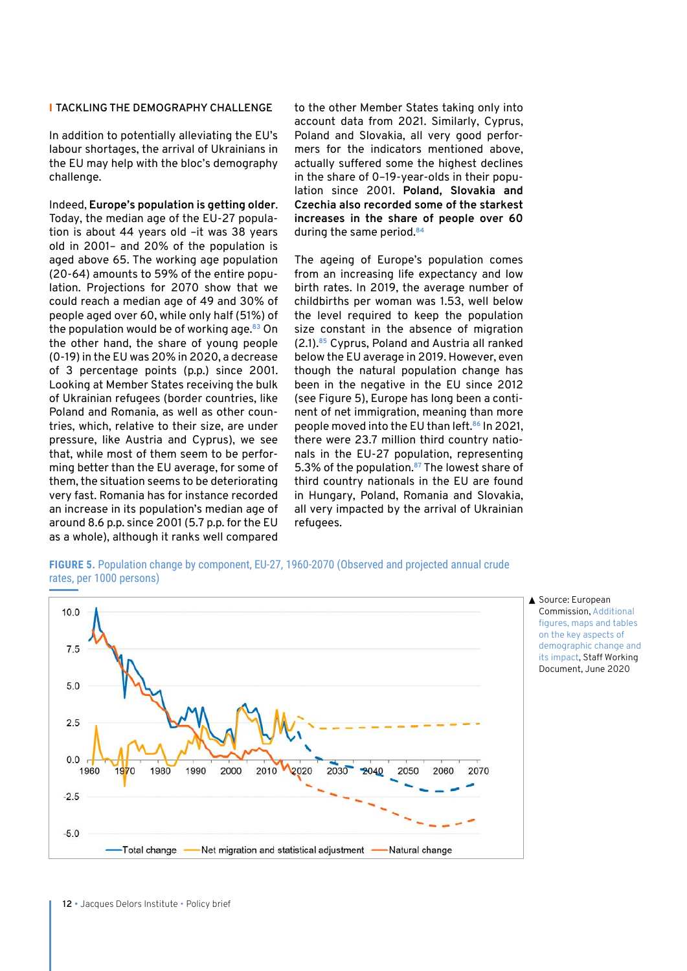#### I **TACKLING THE DEMOGRAPHY CHALLENGE**

In addition to potentially alleviating the EU's labour shortages, the arrival of Ukrainians in the EU may help with the bloc's demography challenge.

Indeed, **Europe's population is getting older**. Today, the median age of the EU-27 population is about 44 years old –it was 38 years old in 2001– and 20% of the population is aged above 65. The working age population (20-64) amounts to 59% of the entire population. Projections for 2070 show that we could reach a median age of 49 and 30% of people aged over 60, while only half (51%) of the population would be of working age.**<sup>83</sup>** On the other hand, the share of young people (0-19) in the EU was 20% in 2020, a decrease of 3 percentage points (p.p.) since 2001. Ithough the natural population change Looking at Member States receiving the bulk been in the negative in the EU since of Ukrainian refugees (border countries, like  $\hskip 10pt \pmod{5}$ , Europe has long been a c Poland and Romania, as well as other countries, which, relative to their size, are under pressure, like Austria and Cyprus), we see there were 23.7 million third country n that, while most of them seem to be perfor-  $\;$  nals in the EU-27 population, represe ming better than the EU average, for some of  $\,$  5.3% of the population. $\,^{\mathrm{87}}$  The lowest sh them, the situation seems to be deteriorating third country nationals in the EU are f very fast. Romania has for instance recorded very fast. Nomality has for instance recorded this ridigary, i olding, Nomality and Slov<br>an increase in its population's median age of the lattery impacted by the arrival of Ukra are mored by the proportion of median declining to the mean of the annual of ontal around 8.6 p.p. since 2001 (5.7 p.p. for the EU for refugees. as a whole), although it ranks well compared to diminish to diminish to diminish to diminish to an analysis. 5% reduction compared to the current value.

to the other Member States taking only into account data from 2021. Similarly, Cyprus, Poland and Slovakia, all very good performers for the indicators mentioned above, actually suffered some the highest declines in the share of 0–19-year-olds in their population since 2001. **Poland, Slovakia and Czechia also recorded some of the starkest increases in the share of people over 60**  during the same period.**<sup>84</sup>**

The ageing of Europe's population comes from an increasing life expectancy and low birth rates. In 2019, the average number of childbirths per woman was 1.53, well below the level required to keep the population size constant in the absence of migration (2.1).**<sup>85</sup>** Cyprus, Poland and Austria all ranked -19) in the EU was 20% in 2020, a decrease below the EU average in 2019. However, even though the natural population change has been in the negative in the EU since 2012 (see Figure 5), Europe has long been a continent of net immigration, meaning than more people moved into the EU than left.**<sup>86</sup>** In 2021, there were 23.7 million third country nationals in the EU-27 population, representing 5.3% of the population.**<sup>87</sup>** The lowest share of third country nationals in the EU are found in Hungary, Poland, Romania and Slovakia, all very impacted by the arrival of Ukrainian refugees.

**FIGURE 5.** Population change by component, EU-27, 1960-2070 (Observed and projected annual crude **Figure 31** change by component, EU-27, 1960-2070 (Observates, per 1000 persons)



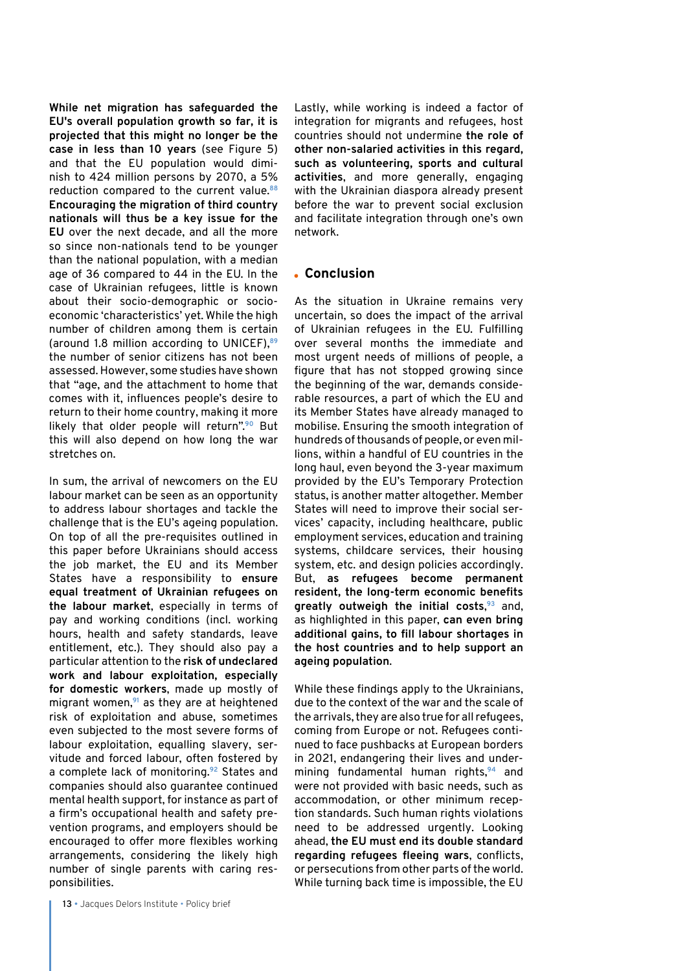**While net migration has safeguarded the EU's overall population growth so far, it is projected that this might no longer be the case in less than 10 years** (see Figure 5) and that the EU population would diminish to 424 million persons by 2070, a 5% reduction compared to the current value.**<sup>88</sup> Encouraging the migration of third country nationals will thus be a key issue for the EU** over the next decade, and all the more so since non-nationals tend to be younger than the national population, with a median age of 36 compared to 44 in the EU. In the case of Ukrainian refugees, little is known about their socio-demographic or socioeconomic 'characteristics' yet. While the high number of children among them is certain (around 1.8 million according to UNICEF),**<sup>89</sup>** the number of senior citizens has not been assessed. However, some studies have shown that "age, and the attachment to home that comes with it, influences people's desire to return to their home country, making it more likely that older people will return".**<sup>90</sup>** But this will also depend on how long the war stretches on.

In sum, the arrival of newcomers on the EU labour market can be seen as an opportunity to address labour shortages and tackle the challenge that is the EU's ageing population. On top of all the pre-requisites outlined in this paper before Ukrainians should access the job market, the EU and its Member States have a responsibility to **ensure equal treatment of Ukrainian refugees on the labour market**, especially in terms of pay and working conditions (incl. working hours, health and safety standards, leave entitlement, etc.). They should also pay a particular attention to the **risk of undeclared work and labour exploitation, especially for domestic workers**, made up mostly of migrant women,**<sup>91</sup>** as they are at heightened risk of exploitation and abuse, sometimes even subjected to the most severe forms of labour exploitation, equalling slavery, servitude and forced labour, often fostered by a complete lack of monitoring.**<sup>92</sup>** States and companies should also guarantee continued mental health support, for instance as part of a firm's occupational health and safety prevention programs, and employers should be encouraged to offer more flexibles working arrangements, considering the likely high number of single parents with caring responsibilities.

Lastly, while working is indeed a factor of integration for migrants and refugees, host countries should not undermine **the role of other non-salaried activities in this regard, such as volunteering, sports and cultural activities**, and more generally, engaging with the Ukrainian diaspora already present before the war to prevent social exclusion and facilitate integration through one's own network.

#### **Conclusion**

As the situation in Ukraine remains very uncertain, so does the impact of the arrival of Ukrainian refugees in the EU. Fulfilling over several months the immediate and most urgent needs of millions of people, a figure that has not stopped growing since the beginning of the war, demands considerable resources, a part of which the EU and its Member States have already managed to mobilise. Ensuring the smooth integration of hundreds of thousands of people, or even millions, within a handful of EU countries in the long haul, even beyond the 3-year maximum provided by the EU's Temporary Protection status, is another matter altogether. Member States will need to improve their social services' capacity, including healthcare, public employment services, education and training systems, childcare services, their housing system, etc. and design policies accordingly. But, **as refugees become permanent resident, the long-term economic benefits greatly outweigh the initial costs**, **<sup>93</sup>** and, as highlighted in this paper, **can even bring additional gains, to fill labour shortages in the host countries and to help support an ageing population**.

While these findings apply to the Ukrainians, due to the context of the war and the scale of the arrivals, they are also true for all refugees, coming from Europe or not. Refugees continued to face pushbacks at European borders in 2021, endangering their lives and undermining fundamental human rights,**<sup>94</sup>** and were not provided with basic needs, such as accommodation, or other minimum reception standards. Such human rights violations need to be addressed urgently. Looking ahead, **the EU must end its double standard regarding refugees fleeing wars**, conflicts, or persecutions from other parts of the world. While turning back time is impossible, the EU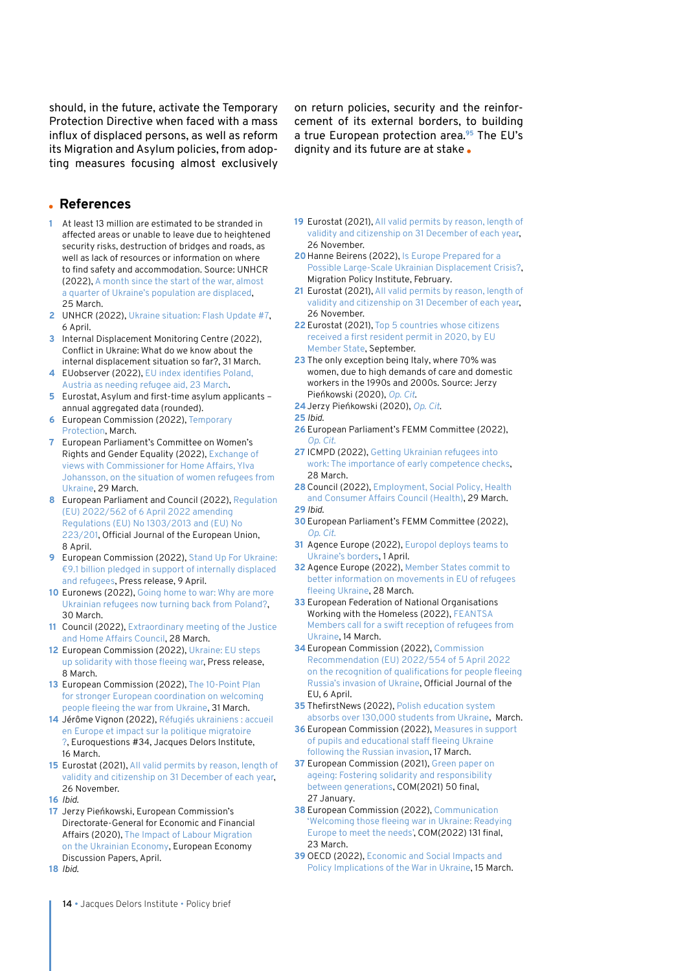should, in the future, activate the Temporary Protection Directive when faced with a mass influx of displaced persons, as well as reform its Migration and Asylum policies, from adopting measures focusing almost exclusively

on return policies, security and the reinforcement of its external borders, to building a true European protection area.**<sup>95</sup>** The EU's dignity and its future are at stake.

#### **References**

- **1** At least 13 million are estimated to be stranded in affected areas or unable to leave due to heightened security risks, destruction of bridges and roads, as well as lack of resources or information on where to find safety and accommodation. Source: UNHCR (2022), [A month since the start of the war, almost](https://www.unhcr.org/news/briefing/2022/3/623da5894/month-since-start-war-quarter-ukraines-population-displaced.html)  [a quarter of Ukraine's population are displaced](https://www.unhcr.org/news/briefing/2022/3/623da5894/month-since-start-war-quarter-ukraines-population-displaced.html), 25 March.
- **2** UNHCR (2022), [Ukraine situation: Flash Update #7](https://data2.unhcr.org/en/documents/details/91900), 6 April.
- **3** Internal Displacement Monitoring Centre (2022), Conflict in Ukraine: What do we know about the internal displacement situation so far?, 31 March.
- **4** EUobserver (2022), [EU index identifies Poland,](https://euobserver.com/migration/154557)  [Austria as needing refugee aid, 23 March.](https://euobserver.com/migration/154557)
- **5** Eurostat, Asylum and first-time asylum applicants annual aggregated data (rounded).
- **6** European Commission (2022), [Temporary](https://ec.europa.eu/home-affairs/policies/migration-and-asylum/common-european-asylum-system/temporary-protection_en)  [Protection](https://ec.europa.eu/home-affairs/policies/migration-and-asylum/common-european-asylum-system/temporary-protection_en), March.
- **7** European Parliament's Committee on Women's Rights and Gender Equality (2022), [Exchange of](https://multimedia.europarl.europa.eu/en/webstreaming/committee-on-women-s-rights-and-gender-equality_20220329-1600-COMMITTEE-FEMM)  [views with Commissioner for Home Affairs, Ylva](https://multimedia.europarl.europa.eu/en/webstreaming/committee-on-women-s-rights-and-gender-equality_20220329-1600-COMMITTEE-FEMM)  [Johansson, on the situation of women refugees from](https://multimedia.europarl.europa.eu/en/webstreaming/committee-on-women-s-rights-and-gender-equality_20220329-1600-COMMITTEE-FEMM)  [Ukraine](https://multimedia.europarl.europa.eu/en/webstreaming/committee-on-women-s-rights-and-gender-equality_20220329-1600-COMMITTEE-FEMM), 29 March.
- **8** European Parliament and Council (2022), [Regulation](https://eur-lex.europa.eu/legal-content/EN/TXT/PDF/?uri=CELEX:32022R0562&from=EN)  [\(EU\) 2022/562 of 6 April 2022 amending](https://eur-lex.europa.eu/legal-content/EN/TXT/PDF/?uri=CELEX:32022R0562&from=EN)  [Regulations \(EU\) No 1303/2013 and \(EU\) No](https://eur-lex.europa.eu/legal-content/EN/TXT/PDF/?uri=CELEX:32022R0562&from=EN)  [223/201](https://eur-lex.europa.eu/legal-content/EN/TXT/PDF/?uri=CELEX:32022R0562&from=EN), Official Journal of the European Union, 8 April.
- **9** European Commission (2022), [Stand Up For Ukraine:](https://ec.europa.eu/commission/presscorner/detail/en/IP_22_2382)  [€9.1 billion pledged in support of internally displaced](https://ec.europa.eu/commission/presscorner/detail/en/IP_22_2382)  [and refugees](https://ec.europa.eu/commission/presscorner/detail/en/IP_22_2382), Press release, 9 April.
- **10** Euronews (2022), [Going home to war: Why are more](https://www.euronews.com/my-europe/2022/03/30/going-home-to-war-why-are-more-ukrainian-refugees-now-turning-back-from-poland)  [Ukrainian refugees now turning back from Poland?](https://www.euronews.com/my-europe/2022/03/30/going-home-to-war-why-are-more-ukrainian-refugees-now-turning-back-from-poland), 30 March.
- **11** Council (2022), [Extraordinary meeting of the Justice](https://www.consilium.europa.eu/en/meetings/jha/2022/03/28/)  [and Home Affairs Council](https://www.consilium.europa.eu/en/meetings/jha/2022/03/28/), 28 March.
- **12** European Commission (2022), [Ukraine: EU steps](https://ec.europa.eu/commission/presscorner/detail/en/ip_22_1610)  [up solidarity with those fleeing war](https://ec.europa.eu/commission/presscorner/detail/en/ip_22_1610), Press release, 8 March.
- **13** European Commission (2022), [The 10-Point Plan](https://ec.europa.eu/home-affairs/10-point-plan-stronger-european-coordination-welcoming-people-fleeing-war-ukraine_en)  [for stronger European coordination on welcoming](https://ec.europa.eu/home-affairs/10-point-plan-stronger-european-coordination-welcoming-people-fleeing-war-ukraine_en)  [people fleeing the war from Ukraine,](https://ec.europa.eu/home-affairs/10-point-plan-stronger-european-coordination-welcoming-people-fleeing-war-ukraine_en) 31 March.
- **14** Jérôme Vignon (2022), [Réfugiés ukrainiens : accueil](https://www.youtube.com/watch?v=2rtGgWmco8s)  [en Europe et impact sur la politique migratoire](https://www.youtube.com/watch?v=2rtGgWmco8s)  [?](https://www.youtube.com/watch?v=2rtGgWmco8s), Euroquestions #34, Jacques Delors Institute, 16 March.
- **15** Eurostat (2021), [All valid permits by reason, length of](https://ec.europa.eu/eurostat/databrowser/view/MIGR_RESVALID__custom_2505348/default/table?lang=en)  [validity and citizenship on 31 December of each year](https://ec.europa.eu/eurostat/databrowser/view/MIGR_RESVALID__custom_2505348/default/table?lang=en), 26 November.
- **16** *Ibid*.
- **17** Jerzy Pieńkowski, European Commission's Directorate-General for Economic and Financial Affairs (2020), [The Impact of Labour Migration](https://ec.europa.eu/info/sites/default/files/economy-finance/dp123_en.pdf)  [on the Ukrainian Economy](https://ec.europa.eu/info/sites/default/files/economy-finance/dp123_en.pdf), European Economy Discussion Papers, April.
- **18** *Ibid*.

**19** Eurostat (2021), [All valid permits by reason, length of](https://ec.europa.eu/eurostat/databrowser/view/MIGR_RESVALID__custom_2505348/default/table?lang=en)  [validity and citizenship on 31 December of each year,](https://ec.europa.eu/eurostat/databrowser/view/MIGR_RESVALID__custom_2505348/default/table?lang=en) 26 November.

- **20**Hanne Beirens (2022), [Is Europe Prepared for a](https://www.migrationpolicy.org/news/europe-prepared-possible-large-scale-ukrainian-displacement-crisis)  [Possible Large-Scale Ukrainian Displacement Crisis?](https://www.migrationpolicy.org/news/europe-prepared-possible-large-scale-ukrainian-displacement-crisis), Migration Policy Institute, February.
- **21** Eurostat (2021), [All valid permits by reason, length of](https://ec.europa.eu/eurostat/databrowser/view/MIGR_RESVALID__custom_2505348/default/table?lang=en)  [validity and citizenship on 31 December of each year,](https://ec.europa.eu/eurostat/databrowser/view/MIGR_RESVALID__custom_2505348/default/table?lang=en) 26 November.
- **22** Eurostat (2021), [Top 5 countries whose citizens](https://ec.europa.eu/eurostat/statistics-explained/index.php?title=Residence_permits_-_statistics_on_first_permits_issued_during_the_year)  [received a first resident permit in 2020, by EU](https://ec.europa.eu/eurostat/statistics-explained/index.php?title=Residence_permits_-_statistics_on_first_permits_issued_during_the_year)  [Member State](https://ec.europa.eu/eurostat/statistics-explained/index.php?title=Residence_permits_-_statistics_on_first_permits_issued_during_the_year), September.
- **23** The only exception being Italy, where 70% was women, due to high demands of care and domestic workers in the 1990s and 2000s. Source: Jerzy Pieńkowski (2020), *[Op. Cit](https://ec.europa.eu/info/sites/default/files/economy-finance/dp123_en.pdf)*.
- **24**Jerzy Pieńkowski (2020), *[Op. Cit](https://ec.europa.eu/info/sites/default/files/economy-finance/dp123_en.pdf)*.
- **25** *Ibid*.
- **26** European Parliament's FEMM Committee (2022), *[Op. Cit](https://multimedia.europarl.europa.eu/en/webstreaming/committee-on-women-s-rights-and-gender-equality_20220329-1600-COMMITTEE-FEMM)*.
- **27** ICMPD (2022), [Getting Ukrainian refugees into](https://www.icmpd.org/blog/2022/getting-ukrainian-refugees-into-work-the-importance-of-early-competence-checks)  [work: The importance of early competence checks,](https://www.icmpd.org/blog/2022/getting-ukrainian-refugees-into-work-the-importance-of-early-competence-checks) 28 March.
- **28** Council (2022), [Employment, Social Policy, Health](https://www.consilium.europa.eu/en/meetings/epsco/2022/03/29)  [and Consumer Affairs Council \(Health\)](https://www.consilium.europa.eu/en/meetings/epsco/2022/03/29), 29 March. **29** *Ibid*.
- **30**European Parliament's FEMM Committee (2022), *[Op. Cit](https://multimedia.europarl.europa.eu/en/webstreaming/committee-on-women-s-rights-and-gender-equality_20220329-1600-COMMITTEE-FEMM)*.
- **31** Agence Europe (2022), [Europol deploys teams to](https://agenceurope.eu/en/bulletin/article/12924/10)  [Ukraine's borders](https://agenceurope.eu/en/bulletin/article/12924/10), 1 April.
- **32** Agence Europe (2022), [Member States commit to](https://agenceurope.eu/en/bulletin/article/12920/1)  [better information on movements in EU of refugees](https://agenceurope.eu/en/bulletin/article/12920/1)  [fleeing Ukraine,](https://agenceurope.eu/en/bulletin/article/12920/1) 28 March.
- **33** European Federation of National Organisations Working with the Homeless (2022), [FEANTSA](https://www.feantsa.org/en/feantsa-position/2022/03/14/feantsa-position-feantsa-members-call-for-a-swift-reception-of-refugees-from-ukraine)  [Members call for a swift reception of refugees from](https://www.feantsa.org/en/feantsa-position/2022/03/14/feantsa-position-feantsa-members-call-for-a-swift-reception-of-refugees-from-ukraine)  [Ukraine](https://www.feantsa.org/en/feantsa-position/2022/03/14/feantsa-position-feantsa-members-call-for-a-swift-reception-of-refugees-from-ukraine), 14 March.
- **34** European Commission (2022), [Commission](https://eur-lex.europa.eu/legal-content/EN/TXT/HTML/?uri=CELEX:32022H0554)  [Recommendation \(EU\) 2022/554 of 5 April 2022](https://eur-lex.europa.eu/legal-content/EN/TXT/HTML/?uri=CELEX:32022H0554)  [on the recognition of qualifications for people fleeing](https://eur-lex.europa.eu/legal-content/EN/TXT/HTML/?uri=CELEX:32022H0554)  [Russia's invasion of Ukraine](https://eur-lex.europa.eu/legal-content/EN/TXT/HTML/?uri=CELEX:32022H0554), Official Journal of the EU, 6 April.
- **35** ThefirstNews (2022), [Polish education system](https://www.thefirstnews.com/article/polish-education-system-absorbs-over-130000-students-from-ukraine-29195)  [absorbs over 130,000 students from Ukraine](https://www.thefirstnews.com/article/polish-education-system-absorbs-over-130000-students-from-ukraine-29195), March.
- **36** European Commission (2022), [Measures in support](https://education.ec.europa.eu/ga/node/2027)  [of pupils and educational staff fleeing Ukraine](https://education.ec.europa.eu/ga/node/2027)  [following the Russian invasion](https://education.ec.europa.eu/ga/node/2027), 17 March.
- **37** European Commission (2021), [Green paper on](https://ec.europa.eu/info/sites/default/files/1_en_act_part1_v8_0.pdf)  [ageing: Fostering solidarity and responsibility](https://ec.europa.eu/info/sites/default/files/1_en_act_part1_v8_0.pdf)  [between generations](https://ec.europa.eu/info/sites/default/files/1_en_act_part1_v8_0.pdf), COM(2021) 50 final, 27 January.
- **38** European Commission (2022), [Communication](https://eur-lex.europa.eu/legal-content/EN/TXT/HTML/?uri=CELEX:52022DC0131)  ['Welcoming those fleeing war in Ukraine: Readying](https://eur-lex.europa.eu/legal-content/EN/TXT/HTML/?uri=CELEX:52022DC0131)  [Europe to meet the needs'](https://eur-lex.europa.eu/legal-content/EN/TXT/HTML/?uri=CELEX:52022DC0131), COM(2022) 131 final, 23 March.
- **39** OECD (2022), [Economic and Social Impacts and](https://www.oecd-ilibrary.org/sites/4181d61b-en/index.html?itemId=/content/publication/4181d61b-en)  [Policy Implications of the War in Ukraine,](https://www.oecd-ilibrary.org/sites/4181d61b-en/index.html?itemId=/content/publication/4181d61b-en) 15 March.

14 · Jacques Delors Institute · Policy brief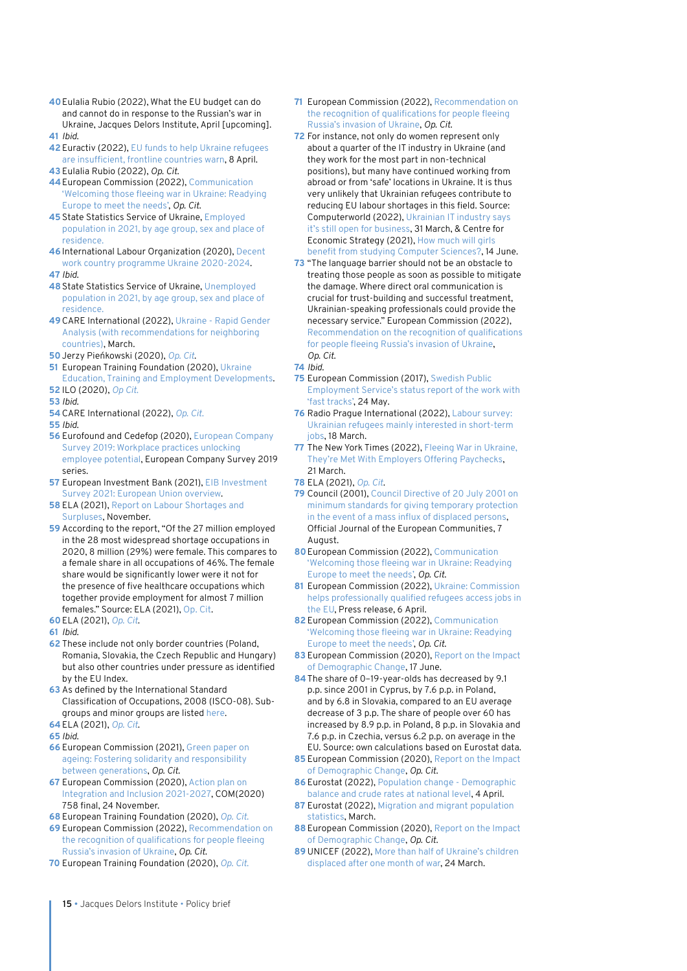- **40**Eulalia Rubio (2022), What the EU budget can do and cannot do in response to the Russian's war in Ukraine, Jacques Delors Institute, April [upcoming]. **41** *Ibid*.
- **42**Euractiv (2022), [EU funds to help Ukraine refugees](https://www.euractiv.com/section/europe-s-east/news/eu-funds-to-help-refugees-are-insufficient-frontline-countries-warn/)  [are insufficient, frontline countries warn,](https://www.euractiv.com/section/europe-s-east/news/eu-funds-to-help-refugees-are-insufficient-frontline-countries-warn/) 8 April.
- **43** Eulalia Rubio (2022), *Op. Cit*.
- **44**European Commission (2022), [Communication](https://eur-lex.europa.eu/legal-content/EN/TXT/HTML/?uri=CELEX:52022DC0131)  ['Welcoming those fleeing war in Ukraine: Readying](https://eur-lex.europa.eu/legal-content/EN/TXT/HTML/?uri=CELEX:52022DC0131)  [Europe to meet the needs'](https://eur-lex.europa.eu/legal-content/EN/TXT/HTML/?uri=CELEX:52022DC0131), *Op. Cit*.
- **45** State Statistics Service of Ukraine, [Employed](http://www.ukrstat.gov.ua/)  [population in 2021, by age group, sex and place of](http://www.ukrstat.gov.ua/)  [residence.](http://www.ukrstat.gov.ua/)
- **46**International Labour Organization (2020), [Decent](https://www.ilo.org/budapest/what-we-do/decent-work-country-programmes/WCMS_774454/lang--en/index.htm)  [work country programme Ukraine 2020-2024](https://www.ilo.org/budapest/what-we-do/decent-work-country-programmes/WCMS_774454/lang--en/index.htm).
- **47** *Ibid*.
- **48**State Statistics Service of Ukraine, [Unemployed](http://www.ukrstat.gov.ua/)  [population in 2021, by age group, sex and place of](http://www.ukrstat.gov.ua/)  [residence.](http://www.ukrstat.gov.ua/)
- **49**[CARE](https://data2.unhcr.org/en/documents/download/91554) International (2022), [Ukraine Rapid Gender](https://data2.unhcr.org/en/documents/details/91554)  [Analysis \(with recommendations for neighboring](https://data2.unhcr.org/en/documents/details/91554)  [countries\)](https://data2.unhcr.org/en/documents/details/91554), March.
- **50**Jerzy Pieńkowski (2020), *[Op. Cit](https://ec.europa.eu/info/sites/default/files/economy-finance/dp123_en.pdf)*.
- **51** European Training Foundation (2020), [Ukraine](https://www.etf.europa.eu/sites/default/files/document/Countr%20yFiche%202020%20Ukraine%20-%20Education_%20Training%20and%20Employment%20Developments.pdf)  [Education, Training and Employment Developments](https://www.etf.europa.eu/sites/default/files/document/Countr%20yFiche%202020%20Ukraine%20-%20Education_%20Training%20and%20Employment%20Developments.pdf). **52** ILO (2020), *[Op Cit](https://www.ilo.org/budapest/what-we-do/decent-work-country-programmes/WCMS_774454/lang--en/index.htm)*.
- **53** *Ibid*.
- **54**[CARE](https://data2.unhcr.org/en/documents/download/91554) International (2022), *[Op. Cit](https://data2.unhcr.org/en/documents/details/91554)*.
- **55** *Ibid*.
- **56** Eurofound and Cedefop (2020), [European Company](https://www.eurofound.europa.eu/publications/flagship-report/2020/european-company-survey-2019-workplace-practices-unlocking-employee-potential)  [Survey 2019: Workplace practices unlocking](https://www.eurofound.europa.eu/publications/flagship-report/2020/european-company-survey-2019-workplace-practices-unlocking-employee-potential)  [employee potential,](https://www.eurofound.europa.eu/publications/flagship-report/2020/european-company-survey-2019-workplace-practices-unlocking-employee-potential) European Company Survey 2019 series.
- **57** European Investment Bank (2021), [EIB Investment](https://www.eib.org/attachments/publications/eibis_2021_european_union_en.pdf)  [Survey 2021: European Union overview](https://www.eib.org/attachments/publications/eibis_2021_european_union_en.pdf).
- **58** ELA (2021), [Report on Labour Shortages and](https://www.ela.europa.eu/sites/default/files/2021-12/2021%20Labour%20shortages%20%20surpluses%20report.pdf)  [Surpluses](https://www.ela.europa.eu/sites/default/files/2021-12/2021%20Labour%20shortages%20%20surpluses%20report.pdf), November.
- **59** According to the report, "Of the 27 million employed in the 28 most widespread shortage occupations in 2020, 8 million (29%) were female. This compares to a female share in all occupations of 46%. The female share would be significantly lower were it not for the presence of five healthcare occupations which together provide employment for almost 7 million females." Source: ELA (2021), [Op. Cit.](https://www.ela.europa.eu/sites/default/files/2021-12/2021%20Labour%20shortages%20%20surpluses%20report.pdf)
- **60**ELA (2021), *[Op. Cit](https://www.ela.europa.eu/sites/default/files/2021-12/2021%20Labour%20shortages%20%20surpluses%20report.pdf)*.
- **61** *Ibid*.
- **62** These include not only border countries (Poland, Romania, Slovakia, the Czech Republic and Hungary) but also other countries under pressure as identified by the EU Index.
- **63** As defined by the International Standard Classification of Occupations, 2008 (ISCO-08). Subgroups and minor groups are listed [here](https://www.ilo.org/public/english/bureau/stat/isco/docs/resol08.pdf).
- **64**ELA (2021), *[Op. Cit](https://www.ela.europa.eu/sites/default/files/2021-12/2021%20Labour%20shortages%20%20surpluses%20report.pdf)*.
- **65** *Ibid*.
- **66** European Commission (2021), [Green paper on](https://ec.europa.eu/info/sites/default/files/1_en_act_part1_v8_0.pdf)  [ageing: Fostering solidarity and responsibility](https://ec.europa.eu/info/sites/default/files/1_en_act_part1_v8_0.pdf)  [between generations,](https://ec.europa.eu/info/sites/default/files/1_en_act_part1_v8_0.pdf) *Op. Cit*.
- **67** European Commission (2020), [Action plan on](https://eur-lex.europa.eu/legal-content/EN/TXT/PDF/?uri=CELEX:52020DC0758&from=EN)  [Integration and Inclusion 2021-2027](https://eur-lex.europa.eu/legal-content/EN/TXT/PDF/?uri=CELEX:52020DC0758&from=EN), COM(2020) 758 final, 24 November.
- **68** European Training Foundation (2020), *[Op. Cit](https://www.etf.europa.eu/sites/default/files/document/Countr%20yFiche%202020%20Ukraine%20-%20Education_%20Training%20and%20Employment%20Developments.pdf)*.
- **69** European Commission (2022), [Recommendation on](https://eur-lex.europa.eu/legal-content/EN/TXT/HTML/?uri=CELEX:32022H0554)  [the recognition of qualifications for people fleeing](https://eur-lex.europa.eu/legal-content/EN/TXT/HTML/?uri=CELEX:32022H0554)  [Russia's invasion of Ukraine](https://eur-lex.europa.eu/legal-content/EN/TXT/HTML/?uri=CELEX:32022H0554), *Op. Cit*.
- **70** European Training Foundation (2020), *[Op. Cit](https://www.etf.europa.eu/sites/default/files/document/Countr%20yFiche%202020%20Ukraine%20-%20Education_%20Training%20and%20Employment%20Developments.pdf)*.
- **71** European Commission (2022), [Recommendation on](https://eur-lex.europa.eu/legal-content/EN/TXT/HTML/?uri=CELEX:32022H0554)  [the recognition of qualifications for people fleeing](https://eur-lex.europa.eu/legal-content/EN/TXT/HTML/?uri=CELEX:32022H0554)  [Russia's invasion of Ukraine,](https://eur-lex.europa.eu/legal-content/EN/TXT/HTML/?uri=CELEX:32022H0554) *Op. Cit*.
- **72** For instance, not only do women represent only about a quarter of the IT industry in Ukraine (and they work for the most part in non-technical positions), but many have continued working from abroad or from 'safe' locations in Ukraine. It is thus very unlikely that Ukrainian refugees contribute to reducing EU labour shortages in this field. Source: Computerworld (2022), [Ukrainian IT industry says](https://www.computerworld.com/article/3655933/ukrainian-it-industry-says-it-s-still-open-for-business.html)  [it's still open for business](https://www.computerworld.com/article/3655933/ukrainian-it-industry-says-it-s-still-open-for-business.html), 31 March, & Centre for Economic Strategy (2021), [How much will girls](https://ces.org.ua/en/benefit-from-the-increase-in-girls-involvement-in-it-en/)  [benefit from studying Computer Sciences?](https://ces.org.ua/en/benefit-from-the-increase-in-girls-involvement-in-it-en/), 14 June.
- **73** "The language barrier should not be an obstacle to treating those people as soon as possible to mitigate the damage. Where direct oral communication is crucial for trust-building and successful treatment, Ukrainian-speaking professionals could provide the necessary service." European Commission (2022), [Recommendation on the recognition of qualifications](https://eur-lex.europa.eu/legal-content/EN/TXT/HTML/?uri=CELEX:32022H0554)  [for people fleeing Russia's invasion of Ukraine](https://eur-lex.europa.eu/legal-content/EN/TXT/HTML/?uri=CELEX:32022H0554), *Op. Cit*.

**74** *Ibid*.

- **75** European Commission (2017), [Swedish Public](https://ec.europa.eu/migrant-integration/library-document/swedish-public-employment-services-status-report-work-fast-tracks_en)  [Employment Service's status report of the work with](https://ec.europa.eu/migrant-integration/library-document/swedish-public-employment-services-status-report-work-fast-tracks_en)  ['fast tracks'](https://ec.europa.eu/migrant-integration/library-document/swedish-public-employment-services-status-report-work-fast-tracks_en), 24 May.
- **76** Radio Prague International (2022), [Labour survey:](https://english.radio.cz/labour-survey-ukrainian-refugees-mainly-interested-short-term-jobs-8745213)  [Ukrainian refugees mainly interested in short-term](https://english.radio.cz/labour-survey-ukrainian-refugees-mainly-interested-short-term-jobs-8745213)  [jobs](https://english.radio.cz/labour-survey-ukrainian-refugees-mainly-interested-short-term-jobs-8745213), 18 March.
- **77** The New York Times (2022), [Fleeing War in Ukraine,](https://www.nytimes.com/2022/03/21/business/refugees-ukraine-jobs.html)  [They're Met With Employers Offering Paychecks](https://www.nytimes.com/2022/03/21/business/refugees-ukraine-jobs.html), 21 March.
- **78** ELA (2021), *[Op. Cit](https://www.ela.europa.eu/sites/default/files/2021-12/2021%20Labour%20shortages%20%20surpluses%20report.pdf)*.
- **79** Council (2001), [Council Directive of 20 July 2001 on](https://eur-lex.europa.eu/legal-content/EN/TXT/PDF/?uri=CELEX:32001L0055&from=EN)  [minimum standards for giving temporary protection](https://eur-lex.europa.eu/legal-content/EN/TXT/PDF/?uri=CELEX:32001L0055&from=EN)  [in the event of a mass influx of displaced persons](https://eur-lex.europa.eu/legal-content/EN/TXT/PDF/?uri=CELEX:32001L0055&from=EN), Official Journal of the European Communities, 7 August.
- **80**European Commission (2022), [Communication](https://eur-lex.europa.eu/legal-content/EN/TXT/HTML/?uri=CELEX:52022DC0131)  ['Welcoming those fleeing war in Ukraine: Readying](https://eur-lex.europa.eu/legal-content/EN/TXT/HTML/?uri=CELEX:52022DC0131)  [Europe to meet the needs',](https://eur-lex.europa.eu/legal-content/EN/TXT/HTML/?uri=CELEX:52022DC0131) *Op. Cit*.
- **81** European Commission (2022), [Ukraine: Commission](https://ec.europa.eu/commission/presscorner/detail/en/ip_22_2296)  [helps professionally qualified refugees access jobs in](https://ec.europa.eu/commission/presscorner/detail/en/ip_22_2296)  [the EU](https://ec.europa.eu/commission/presscorner/detail/en/ip_22_2296), Press release, 6 April.
- **82** European Commission (2022), [Communication](https://eur-lex.europa.eu/legal-content/EN/TXT/HTML/?uri=CELEX:52022DC0131)  ['Welcoming those fleeing war in Ukraine: Readying](https://eur-lex.europa.eu/legal-content/EN/TXT/HTML/?uri=CELEX:52022DC0131)  [Europe to meet the needs',](https://eur-lex.europa.eu/legal-content/EN/TXT/HTML/?uri=CELEX:52022DC0131) *Op. Cit*.
- **83** European Commission (2020), [Report on the Impact](https://ec.europa.eu/info/files/report-impact-demographic-change-reader-friendly-version-0_en)  [of Demographic Change](https://ec.europa.eu/info/files/report-impact-demographic-change-reader-friendly-version-0_en), 17 June.
- **84**The share of 0–19-year-olds has decreased by 9.1 p.p. since 2001 in Cyprus, by 7.6 p.p. in Poland, and by 6.8 in Slovakia, compared to an EU average decrease of 3 p.p. The share of people over 60 has increased by 8.9 p.p. in Poland, 8 p.p. in Slovakia and 7.6 p.p. in Czechia, versus 6.2 p.p. on average in the EU. Source: own calculations based on Eurostat data.
- **85** European Commission (2020), [Report on the Impact](https://ec.europa.eu/info/files/report-impact-demographic-change-reader-friendly-version-0_en)  [of Demographic Change](https://ec.europa.eu/info/files/report-impact-demographic-change-reader-friendly-version-0_en), *Op. Cit*.
- **86** Eurostat (2022), [Population change Demographic](https://ec.europa.eu/eurostat/databrowser/view/DEMO_GIND__custom_2466914/default/table?lang=en)  [balance and crude rates at national level](https://ec.europa.eu/eurostat/databrowser/view/DEMO_GIND__custom_2466914/default/table?lang=en), 4 April.
- **87** Eurostat (2022), [Migration and migrant population](https://ec.europa.eu/eurostat/statistics-explained/index.php?title=Migration_and_migrant_population_statistics)  [statistics](https://ec.europa.eu/eurostat/statistics-explained/index.php?title=Migration_and_migrant_population_statistics), March.
- **88** European Commission (2020), [Report on the Impact](https://ec.europa.eu/info/files/report-impact-demographic-change-reader-friendly-version-0_en)  [of Demographic Change](https://ec.europa.eu/info/files/report-impact-demographic-change-reader-friendly-version-0_en), *Op. Cit*.
- **89** UNICEF (2022), [More than half of Ukraine's children](https://www.unicef.org/press-releases/more-half-ukraines-children-displaced-after-one-month-war)  [displaced after one month of war](https://www.unicef.org/press-releases/more-half-ukraines-children-displaced-after-one-month-war), 24 March.